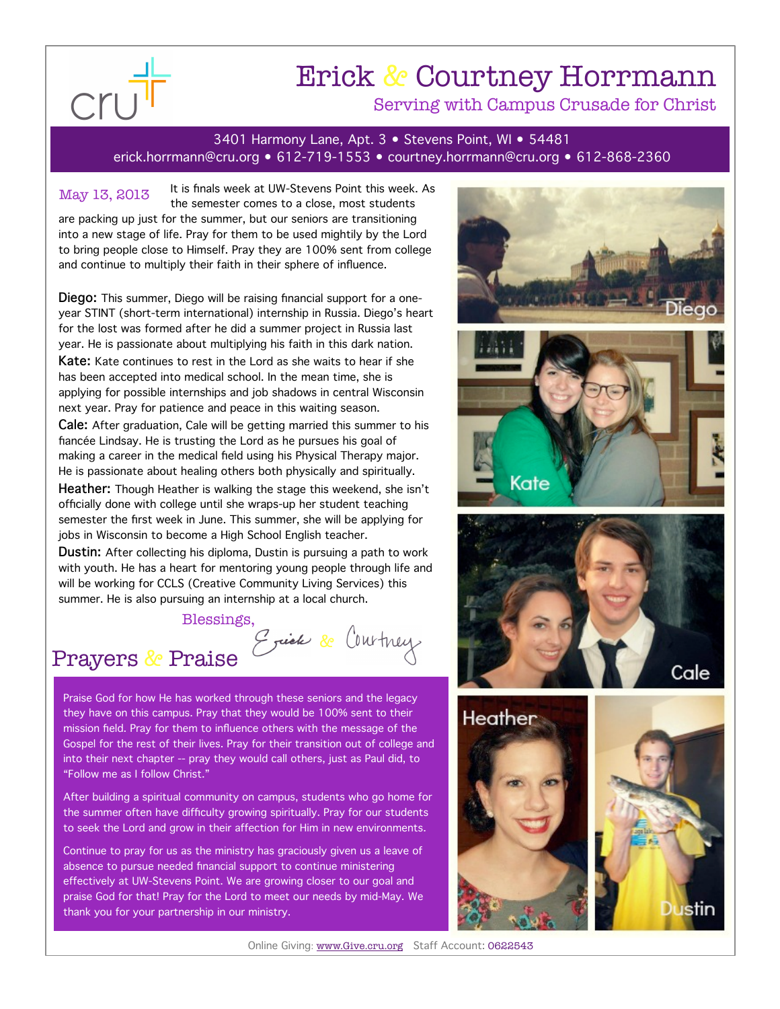

## Erick & Courtney Horrmann Serving with Campus Crusade for Christ

3401 Harmony Lane, Apt. 3 • Stevens Point, WI • 54481

erick.horrmann@cru.org • 612-719-1553 • courtney.horrmann@cru.org • 612-868-2360

It is finals week at UW-Stevens Point this week. As the semester comes to a close, most students are packing up just for the summer, but our seniors are transitioning into a new stage of life. Pray for them to be used mightily by the Lord to bring people close to Himself. Pray they are 100% sent from college and continue to multiply their faith in their sphere of influence. May 13, 2013

**Diego:** This summer, Diego will be raising financial support for a oneyear STINT (short-term international) internship in Russia. Diego's heart for the lost was formed after he did a summer project in Russia last year. He is passionate about multiplying his faith in this dark nation. **Kate:** Kate continues to rest in the Lord as she waits to hear if she has been accepted into medical school. In the mean time, she is applying for possible internships and job shadows in central Wisconsin next year. Pray for patience and peace in this waiting season.

**Cale:** After graduation, Cale will be getting married this summer to his fiancée Lindsay. He is trusting the Lord as he pursues his goal of making a career in the medical field using his Physical Therapy major. He is passionate about healing others both physically and spiritually.

**Heather:** Though Heather is walking the stage this weekend, she isn't officially done with college until she wraps-up her student teaching semester the first week in June. This summer, she will be applying for jobs in Wisconsin to become a High School English teacher.

**Dustin:** After collecting his diploma, Dustin is pursuing a path to work with youth. He has a heart for mentoring young people through life and will be working for CCLS (Creative Community Living Services) this summer. He is also pursuing an internship at a local church.

Blessings,

Prayers & Praise

Praise God for how He has worked through these seniors and the legacy they have on this campus. Pray that they would be 100% sent to their mission field. Pray for them to influence others with the message of the Gospel for the rest of their lives. Pray for their transition out of college and into their next chapter -- pray they would call others, just as Paul did, to "Follow me as I follow Christ."

After building a spiritual community on campus, students who go home for the summer often have difficulty growing spiritually. Pray for our students to seek the Lord and grow in their affection for Him in new environments.

Continue to pray for us as the ministry has graciously given us a leave of absence to pursue needed financial support to continue ministering effectively at UW-Stevens Point. We are growing closer to our goal and praise God for that! Pray for the Lord to meet our needs by mid-May. We thank you for your partnership in our ministry.